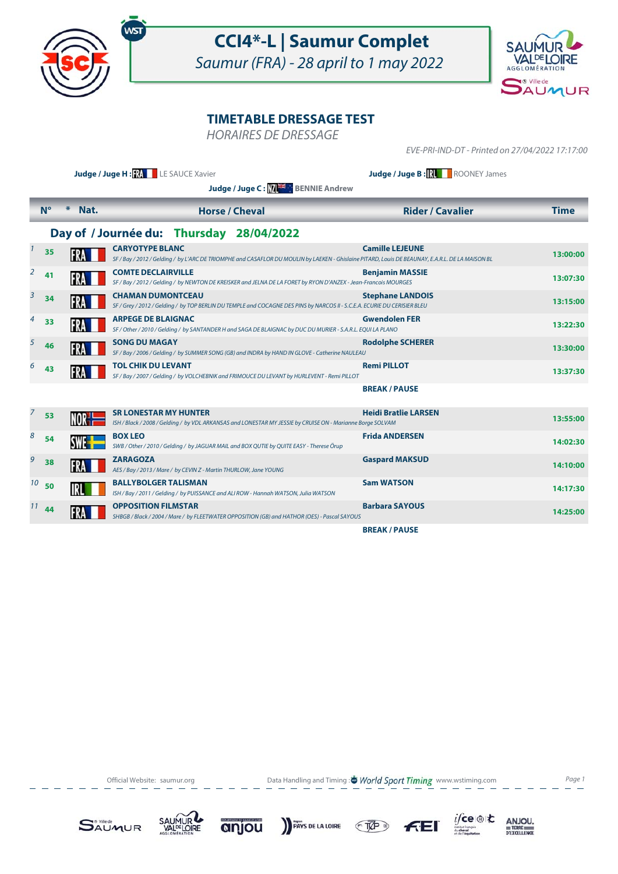

## **CCI4\*-L | Saumur Complet**

Saumur (FRA) - 28 april to 1 may 2022



## **TIMETABLE DRESSAGE TEST**

HORAIRES DE DRESSAGE

EVE-PRI-IND-DT - Printed on 27/04/2022 17:17:00

|    |             |                | Judge / Juge H: RA LE SAUCE Xavier<br>Judge / Juge C: ME BENNIE Andrew                                                                                                     | Judge / Juge B:          ROONEY James |             |
|----|-------------|----------------|----------------------------------------------------------------------------------------------------------------------------------------------------------------------------|---------------------------------------|-------------|
|    | $N^{\circ}$ | $\ast$<br>Nat. | <b>Horse / Cheval</b>                                                                                                                                                      | <b>Rider / Cavalier</b>               | <b>Time</b> |
|    |             |                | Day of / Journée du: Thursday 28/04/2022                                                                                                                                   |                                       |             |
|    | 35          |                | <b>CARYOTYPE BLANC</b><br>SF / Bay / 2012 / Gelding / by L'ARC DE TRIOMPHE and CASAFLOR DU MOULIN by LAEKEN - Ghislaine PITARD, Louis DE BEAUNAY, E.A.R.L. DE LA MAISON BL | <b>Camille LEJEUNE</b>                | 13:00:00    |
| 2  | 41          |                | <b>COMTE DECLAIRVILLE</b><br>SF / Bay / 2012 / Gelding / by NEWTON DE KREISKER and JELNA DE LA FORET by RYON D'ANZEX - Jean-Francois MOURGES                               | <b>Benjamin MASSIE</b>                | 13:07:30    |
| 3  | 34          |                | <b>CHAMAN DUMONTCEAU</b><br>SF / Grey / 2012 / Gelding / by TOP BERLIN DU TEMPLE and COCAGNE DES PINS by NARCOS II - S.C.E.A. ECURIE DU CERISIER BLEU                      | <b>Stephane LANDOIS</b>               | 13:15:00    |
|    | 33          |                | <b>ARPEGE DE BLAIGNAC</b><br>SF / Other / 2010 / Gelding / by SANTANDER H and SAGA DE BLAIGNAC by DUC DU MURIER - S.A.R.L. EQUI LA PLANO                                   | <b>Gwendolen FER</b>                  | 13:22:30    |
| 5  | 46          |                | <b>SONG DU MAGAY</b><br>SF / Bay / 2006 / Gelding / by SUMMER SONG (GB) and INDRA by HAND IN GLOVE - Catherine NAULEAU                                                     | <b>Rodolphe SCHERER</b>               | 13:30:00    |
|    | 43          |                | <b>TOL CHIK DU LEVANT</b><br>SF / Bay / 2007 / Gelding / by VOLCHEBNIK and FRIMOUCE DU LEVANT by HURLEVENT - Remi PILLOT                                                   | <b>Remi PILLOT</b>                    | 13:37:30    |
|    |             |                |                                                                                                                                                                            | <b>BREAK/PAUSE</b>                    |             |
| 7  | 53          |                | <b>SR LONESTAR MY HUNTER</b><br>ISH / Black / 2008 / Gelding / by VDL ARKANSAS and LONESTAR MY JESSIE by CRUISE ON - Marianne Borge SOLVAM                                 | <b>Heidi Bratlie LARSEN</b>           | 13:55:00    |
| 8  | 54          |                | <b>BOX LEO</b><br>SWB / Other / 2010 / Gelding / by JAGUAR MAIL and BOX QUTIE by QUITE EASY - Therese Örup                                                                 | <b>Frida ANDERSEN</b>                 | 14:02:30    |
| 9  | 38          |                | <b>ZARAGOZA</b><br>AES / Bay / 2013 / Mare / by CEVIN Z - Martin THURLOW, Jane YOUNG                                                                                       | <b>Gaspard MAKSUD</b>                 | 14:10:00    |
| 10 | 50          |                | <b>BALLYBOLGER TALISMAN</b><br>ISH / Bay / 2011 / Gelding / by PUISSANCE and ALI ROW - Hannah WATSON, Julia WATSON                                                         | <b>Sam WATSON</b>                     | 14:17:30    |
|    | $11$ 44     |                | <b>OPPOSITION FILMSTAR</b><br>SHBGB / Black / 2004 / Mare / by FLEETWATER OPPOSITION (GB) and HATHOR (OES) - Pascal SAYOUS                                                 | <b>Barbara SAYOUS</b>                 | 14:25:00    |
|    |             |                |                                                                                                                                                                            | <b>BREAK/PAUSE</b>                    |             |

Official Website: saumur.org **Data Handling and Timing : World Sport Timing** www.wstiming.com Page 1





anjou